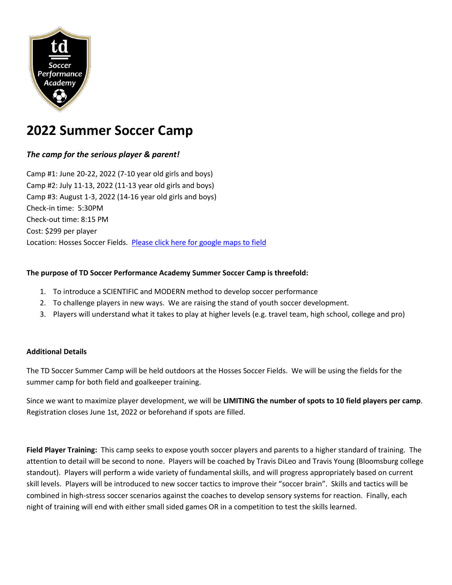

# **2022 Summer Soccer Camp**

## *The camp for the serious player & parent!*

Camp #1: June 20-22, 2022 (7-10 year old girls and boys) Camp #2: July 11-13, 2022 (11-13 year old girls and boys) Camp #3: August 1-3, 2022 (14-16 year old girls and boys) Check-in time: 5:30PM Check-out time: 8:15 PM Cost: \$299 per player Location: Hosses Soccer Fields. [Please click here for google maps to field](https://goo.gl/maps/xyoa7W9uC3fFHL54A)

#### **The purpose of TD Soccer Performance Academy Summer Soccer Camp is threefold:**

- 1. To introduce a SCIENTIFIC and MODERN method to develop soccer performance
- 2. To challenge players in new ways. We are raising the stand of youth soccer development.
- 3. Players will understand what it takes to play at higher levels (e.g. travel team, high school, college and pro)

## **Additional Details**

The TD Soccer Summer Camp will be held outdoors at the Hosses Soccer Fields. We will be using the fields for the summer camp for both field and goalkeeper training.

Since we want to maximize player development, we will be **LIMITING the number of spots to 10 field players per camp**. Registration closes June 1st, 2022 or beforehand if spots are filled.

**Field Player Training:** This camp seeks to expose youth soccer players and parents to a higher standard of training. The attention to detail will be second to none. Players will be coached by Travis DiLeo and Travis Young (Bloomsburg college standout). Players will perform a wide variety of fundamental skills, and will progress appropriately based on current skill levels. Players will be introduced to new soccer tactics to improve their "soccer brain". Skills and tactics will be combined in high-stress soccer scenarios against the coaches to develop sensory systems for reaction. Finally, each night of training will end with either small sided games OR in a competition to test the skills learned.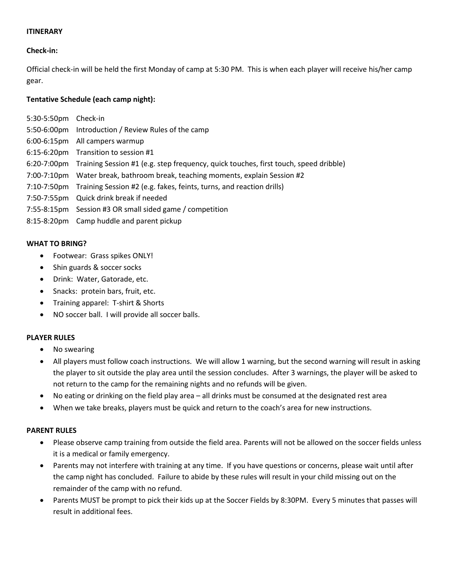#### **ITINERARY**

## **Check-in:**

Official check-in will be held the first Monday of camp at 5:30 PM. This is when each player will receive his/her camp gear.

## **Tentative Schedule (each camp night):**

| 5:30-5:50pm Check-in |                                                                                                  |
|----------------------|--------------------------------------------------------------------------------------------------|
|                      | 5:50-6:00pm Introduction / Review Rules of the camp                                              |
|                      | 6:00-6:15pm All campers warmup                                                                   |
|                      | 6:15-6:20pm Transition to session #1                                                             |
|                      | 6:20-7:00pm Training Session #1 (e.g. step frequency, quick touches, first touch, speed dribble) |
|                      | 7:00-7:10pm Water break, bathroom break, teaching moments, explain Session #2                    |
|                      | 7:10-7:50pm Training Session #2 (e.g. fakes, feints, turns, and reaction drills)                 |
|                      | 7:50-7:55pm Quick drink break if needed                                                          |
|                      | 7:55-8:15pm Session #3 OR small sided game / competition                                         |
|                      | 8:15-8:20pm Camp huddle and parent pickup                                                        |

#### **WHAT TO BRING?**

- Footwear: Grass spikes ONLY!
- Shin guards & soccer socks
- Drink: Water, Gatorade, etc.
- Snacks: protein bars, fruit, etc.
- Training apparel: T-shirt & Shorts
- NO soccer ball. I will provide all soccer balls.

#### **PLAYER RULES**

- No swearing
- All players must follow coach instructions. We will allow 1 warning, but the second warning will result in asking the player to sit outside the play area until the session concludes. After 3 warnings, the player will be asked to not return to the camp for the remaining nights and no refunds will be given.
- No eating or drinking on the field play area all drinks must be consumed at the designated rest area
- When we take breaks, players must be quick and return to the coach's area for new instructions.

#### **PARENT RULES**

- Please observe camp training from outside the field area. Parents will not be allowed on the soccer fields unless it is a medical or family emergency.
- Parents may not interfere with training at any time. If you have questions or concerns, please wait until after the camp night has concluded. Failure to abide by these rules will result in your child missing out on the remainder of the camp with no refund.
- Parents MUST be prompt to pick their kids up at the Soccer Fields by 8:30PM. Every 5 minutes that passes will result in additional fees.